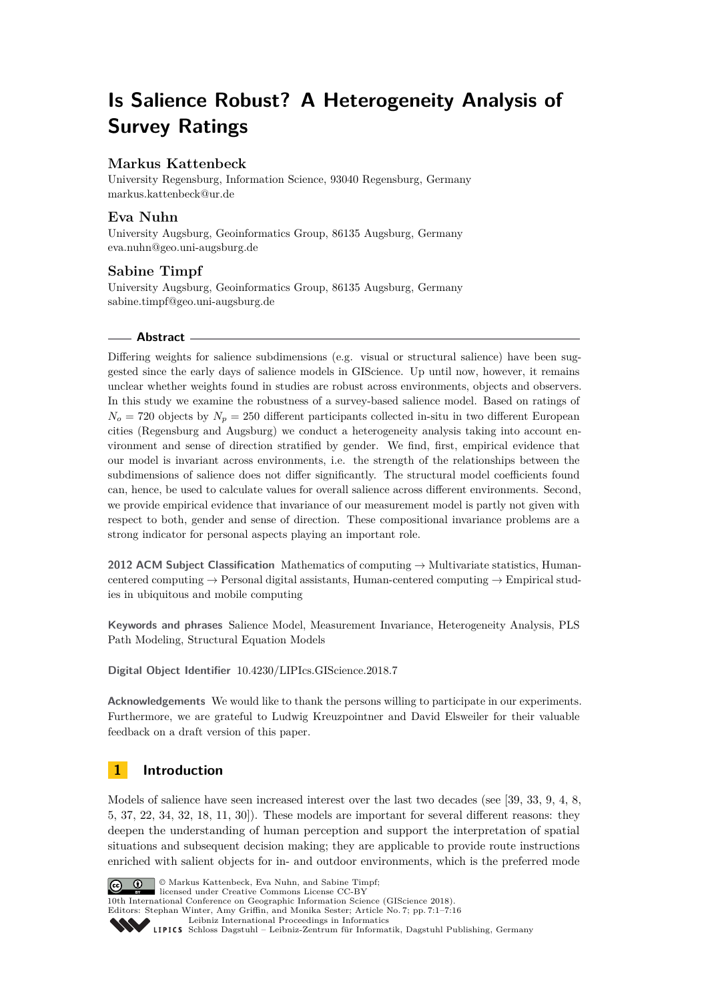# **Is Salience Robust? A Heterogeneity Analysis of Survey Ratings**

# **Markus Kattenbeck**

University Regensburg, Information Science, 93040 Regensburg, Germany [markus.kattenbeck@ur.de](mailto:markus.kattenbeck@ur.de)

# **Eva Nuhn**

University Augsburg, Geoinformatics Group, 86135 Augsburg, Germany [eva.nuhn@geo.uni-augsburg.de](mailto:eva.nuhn@geo.uni-augsburg.de)

# **Sabine Timpf**

University Augsburg, Geoinformatics Group, 86135 Augsburg, Germany [sabine.timpf@geo.uni-augsburg.de](mailto:sabine.timpf@geo.uni-augsburg.de)

### **Abstract**

Differing weights for salience subdimensions (e.g. visual or structural salience) have been suggested since the early days of salience models in GIScience. Up until now, however, it remains unclear whether weights found in studies are robust across environments, objects and observers. In this study we examine the robustness of a survey-based salience model. Based on ratings of  $N<sub>o</sub> = 720$  objects by  $N<sub>p</sub> = 250$  different participants collected in-situ in two different European cities (Regensburg and Augsburg) we conduct a heterogeneity analysis taking into account environment and sense of direction stratified by gender. We find, first, empirical evidence that our model is invariant across environments, i.e. the strength of the relationships between the subdimensions of salience does not differ significantly. The structural model coefficients found can, hence, be used to calculate values for overall salience across different environments. Second, we provide empirical evidence that invariance of our measurement model is partly not given with respect to both, gender and sense of direction. These compositional invariance problems are a strong indicator for personal aspects playing an important role.

**2012 ACM Subject Classification** Mathematics of computing → Multivariate statistics, Humancentered computing  $\rightarrow$  Personal digital assistants, Human-centered computing  $\rightarrow$  Empirical studies in ubiquitous and mobile computing

**Keywords and phrases** Salience Model, Measurement Invariance, Heterogeneity Analysis, PLS Path Modeling, Structural Equation Models

**Digital Object Identifier** [10.4230/LIPIcs.GIScience.2018.7](http://dx.doi.org/10.4230/LIPIcs.GIScience.2018.7)

**Acknowledgements** We would like to thank the persons willing to participate in our experiments. Furthermore, we are grateful to Ludwig Kreuzpointner and David Elsweiler for their valuable feedback on a draft version of this paper.

# **1 Introduction**

Models of salience have seen increased interest over the last two decades (see [\[39,](#page-14-0) [33,](#page-13-0) [9,](#page-12-0) [4,](#page-12-1) [8,](#page-12-2) [5,](#page-12-3) [37,](#page-14-1) [22,](#page-13-1) [34,](#page-13-2) [32,](#page-13-3) [18,](#page-13-4) [11,](#page-12-4) [30\]](#page-13-5)). These models are important for several different reasons: they deepen the understanding of human perception and support the interpretation of spatial situations and subsequent decision making; they are applicable to provide route instructions enriched with salient objects for in- and outdoor environments, which is the preferred mode



© Markus Kattenbeck, Eva Nuhn, and Sabine Timpf; licensed under Creative Commons License CC-BY

10th International Conference on Geographic Information Science (GIScience 2018).

Editors: Stephan Winter, Amy Griffin, and Monika Sester; Article No. 7; pp. 7:1–7[:16](#page-15-0)

[Leibniz International Proceedings in Informatics](http://www.dagstuhl.de/lipics/)

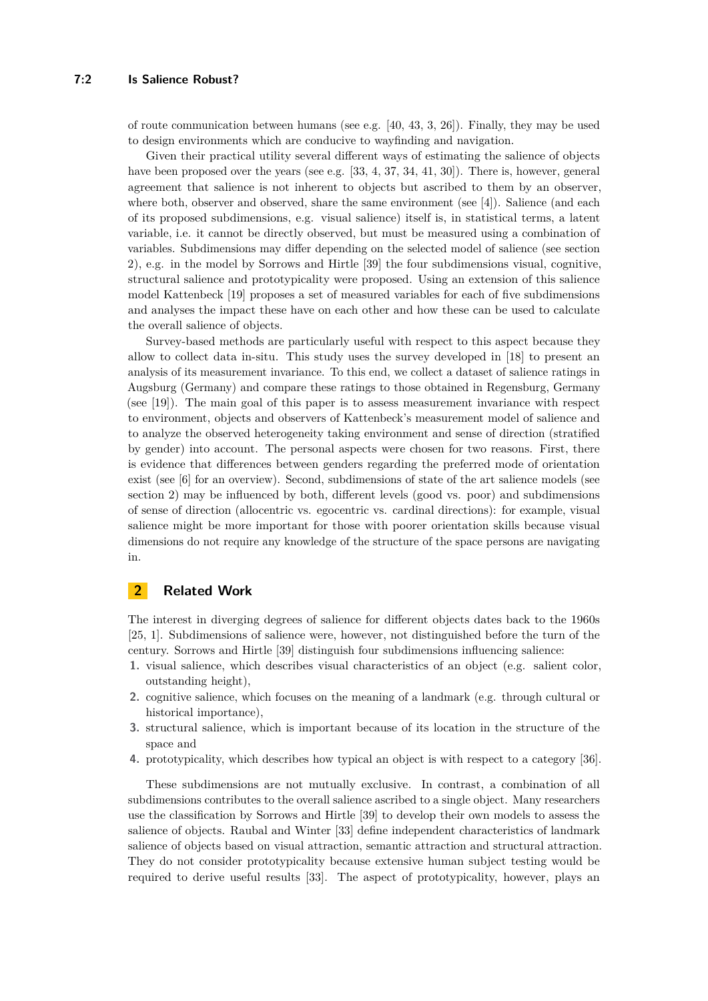of route communication between humans (see e.g.  $[40, 43, 3, 26]$  $[40, 43, 3, 26]$  $[40, 43, 3, 26]$  $[40, 43, 3, 26]$  $[40, 43, 3, 26]$  $[40, 43, 3, 26]$  $[40, 43, 3, 26]$ ). Finally, they may be used to design environments which are conducive to wayfinding and navigation.

Given their practical utility several different ways of estimating the salience of objects have been proposed over the years (see e.g. [\[33,](#page-13-0) [4,](#page-12-1) [37,](#page-14-1) [34,](#page-13-2) [41,](#page-14-4) [30\]](#page-13-5)). There is, however, general agreement that salience is not inherent to objects but ascribed to them by an observer, where both, observer and observed, share the same environment (see [\[4\]](#page-12-1)). Salience (and each of its proposed subdimensions, e.g. visual salience) itself is, in statistical terms, a latent variable, i.e. it cannot be directly observed, but must be measured using a combination of variables. Subdimensions may differ depending on the selected model of salience (see section [2\)](#page-1-0), e.g. in the model by Sorrows and Hirtle [\[39\]](#page-14-0) the four subdimensions visual, cognitive, structural salience and prototypicality were proposed. Using an extension of this salience model Kattenbeck [\[19\]](#page-13-7) proposes a set of measured variables for each of five subdimensions and analyses the impact these have on each other and how these can be used to calculate the overall salience of objects.

Survey-based methods are particularly useful with respect to this aspect because they allow to collect data in-situ. This study uses the survey developed in [\[18\]](#page-13-4) to present an analysis of its measurement invariance. To this end, we collect a dataset of salience ratings in Augsburg (Germany) and compare these ratings to those obtained in Regensburg, Germany (see [\[19\]](#page-13-7)). The main goal of this paper is to assess measurement invariance with respect to environment, objects and observers of Kattenbeck's measurement model of salience and to analyze the observed heterogeneity taking environment and sense of direction (stratified by gender) into account. The personal aspects were chosen for two reasons. First, there is evidence that differences between genders regarding the preferred mode of orientation exist (see [\[6\]](#page-12-6) for an overview). Second, subdimensions of state of the art salience models (see section [2\)](#page-1-0) may be influenced by both, different levels (good vs. poor) and subdimensions of sense of direction (allocentric vs. egocentric vs. cardinal directions): for example, visual salience might be more important for those with poorer orientation skills because visual dimensions do not require any knowledge of the structure of the space persons are navigating in.

# <span id="page-1-0"></span>**2 Related Work**

The interest in diverging degrees of salience for different objects dates back to the 1960s [\[25,](#page-13-8) [1\]](#page-12-7). Subdimensions of salience were, however, not distinguished before the turn of the century. Sorrows and Hirtle [\[39\]](#page-14-0) distinguish four subdimensions influencing salience:

- **1.** visual salience, which describes visual characteristics of an object (e.g. salient color, outstanding height),
- **2.** cognitive salience, which focuses on the meaning of a landmark (e.g. through cultural or historical importance),
- **3.** structural salience, which is important because of its location in the structure of the space and
- **4.** prototypicality, which describes how typical an object is with respect to a category [\[36\]](#page-14-5).

These subdimensions are not mutually exclusive. In contrast, a combination of all subdimensions contributes to the overall salience ascribed to a single object. Many researchers use the classification by Sorrows and Hirtle [\[39\]](#page-14-0) to develop their own models to assess the salience of objects. Raubal and Winter [\[33\]](#page-13-0) define independent characteristics of landmark salience of objects based on visual attraction, semantic attraction and structural attraction. They do not consider prototypicality because extensive human subject testing would be required to derive useful results [\[33\]](#page-13-0). The aspect of prototypicality, however, plays an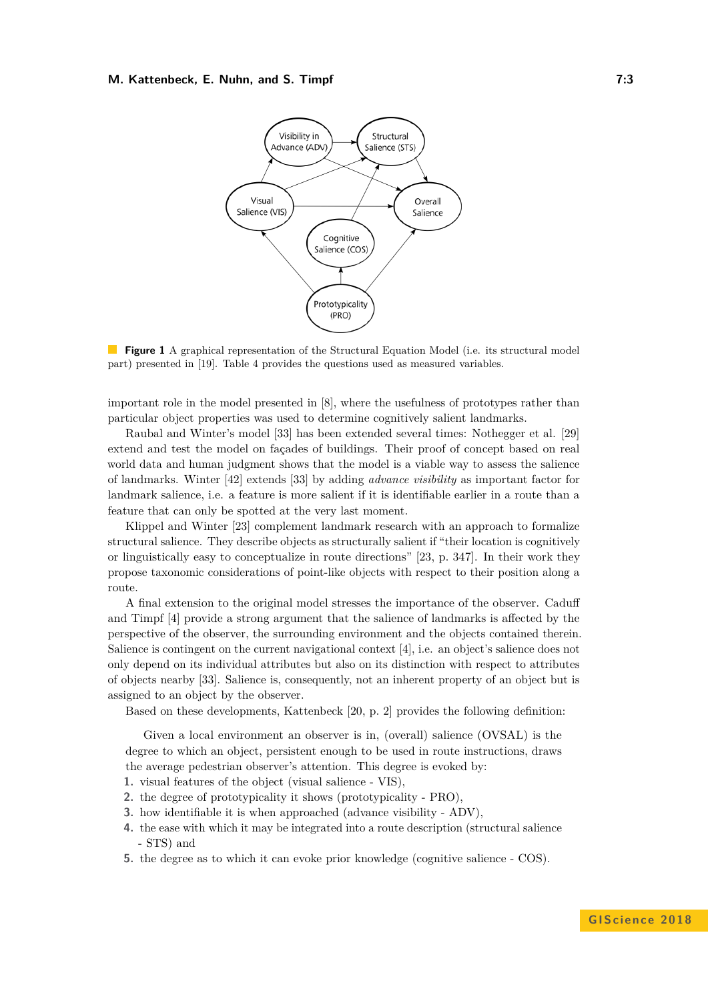<span id="page-2-0"></span>

**Figure 1** A graphical representation of the Structural Equation Model (i.e. its structural model part) presented in [\[19\]](#page-13-7). Table [4](#page-15-1) provides the questions used as measured variables.

important role in the model presented in [\[8\]](#page-12-2), where the usefulness of prototypes rather than particular object properties was used to determine cognitively salient landmarks.

Raubal and Winter's model [\[33\]](#page-13-0) has been extended several times: Nothegger et al. [\[29\]](#page-13-9) extend and test the model on façades of buildings. Their proof of concept based on real world data and human judgment shows that the model is a viable way to assess the salience of landmarks. Winter [\[42\]](#page-14-6) extends [\[33\]](#page-13-0) by adding *advance visibility* as important factor for landmark salience, i.e. a feature is more salient if it is identifiable earlier in a route than a feature that can only be spotted at the very last moment.

Klippel and Winter [\[23\]](#page-13-10) complement landmark research with an approach to formalize structural salience. They describe objects as structurally salient if "their location is cognitively or linguistically easy to conceptualize in route directions" [\[23,](#page-13-10) p. 347]. In their work they propose taxonomic considerations of point-like objects with respect to their position along a route.

A final extension to the original model stresses the importance of the observer. Caduff and Timpf [\[4\]](#page-12-1) provide a strong argument that the salience of landmarks is affected by the perspective of the observer, the surrounding environment and the objects contained therein. Salience is contingent on the current navigational context [\[4\]](#page-12-1), i.e. an object's salience does not only depend on its individual attributes but also on its distinction with respect to attributes of objects nearby [\[33\]](#page-13-0). Salience is, consequently, not an inherent property of an object but is assigned to an object by the observer.

Based on these developments, Kattenbeck [\[20,](#page-13-11) p. 2] provides the following definition:

Given a local environment an observer is in, (overall) salience (OVSAL) is the degree to which an object, persistent enough to be used in route instructions, draws the average pedestrian observer's attention. This degree is evoked by:

- **1.** visual features of the object (visual salience VIS),
- **2.** the degree of prototypicality it shows (prototypicality PRO),
- **3.** how identifiable it is when approached (advance visibility ADV),
- **4.** the ease with which it may be integrated into a route description (structural salience - STS) and
- **5.** the degree as to which it can evoke prior knowledge (cognitive salience COS).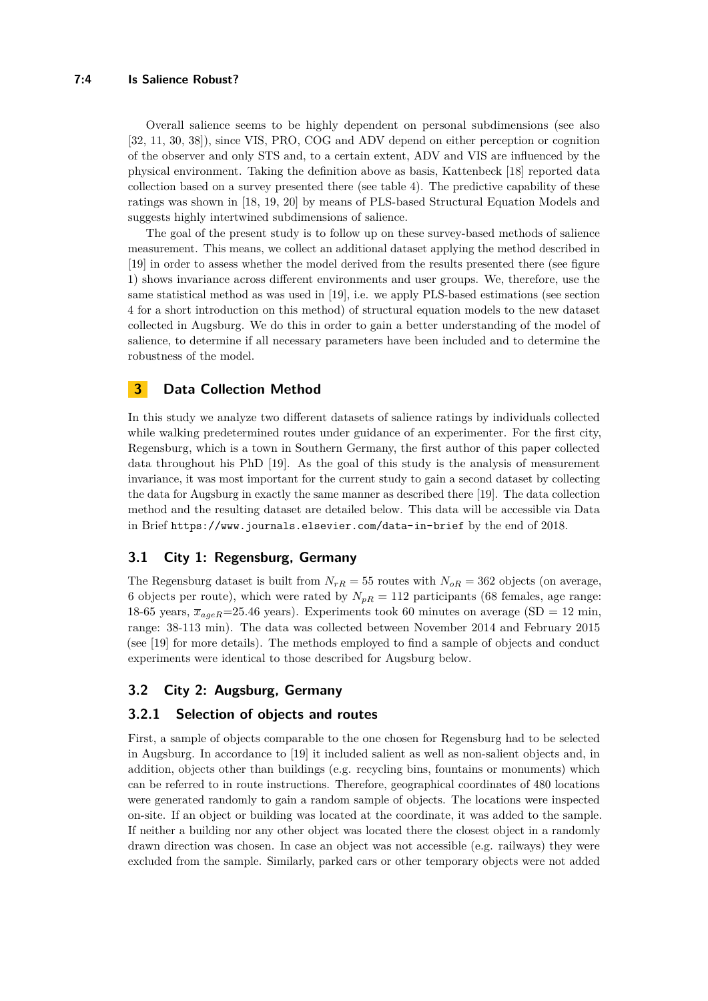Overall salience seems to be highly dependent on personal subdimensions (see also [\[32,](#page-13-3) [11,](#page-12-4) [30,](#page-13-5) [38\]](#page-14-7)), since VIS, PRO, COG and ADV depend on either perception or cognition of the observer and only STS and, to a certain extent, ADV and VIS are influenced by the physical environment. Taking the definition above as basis, Kattenbeck [\[18\]](#page-13-4) reported data collection based on a survey presented there (see table [4\)](#page-15-1). The predictive capability of these ratings was shown in [\[18,](#page-13-4) [19,](#page-13-7) [20\]](#page-13-11) by means of PLS-based Structural Equation Models and suggests highly intertwined subdimensions of salience.

The goal of the present study is to follow up on these survey-based methods of salience measurement. This means, we collect an additional dataset applying the method described in [\[19\]](#page-13-7) in order to assess whether the model derived from the results presented there (see figure [1\)](#page-2-0) shows invariance across different environments and user groups. We, therefore, use the same statistical method as was used in [\[19\]](#page-13-7), i.e. we apply PLS-based estimations (see section [4](#page-4-0) for a short introduction on this method) of structural equation models to the new dataset collected in Augsburg. We do this in order to gain a better understanding of the model of salience, to determine if all necessary parameters have been included and to determine the robustness of the model.

# **3 Data Collection Method**

In this study we analyze two different datasets of salience ratings by individuals collected while walking predetermined routes under guidance of an experimenter. For the first city, Regensburg, which is a town in Southern Germany, the first author of this paper collected data throughout his PhD [\[19\]](#page-13-7). As the goal of this study is the analysis of measurement invariance, it was most important for the current study to gain a second dataset by collecting the data for Augsburg in exactly the same manner as described there [\[19\]](#page-13-7). The data collection method and the resulting dataset are detailed below. This data will be accessible via Data in Brief <https://www.journals.elsevier.com/data-in-brief> by the end of 2018.

# **3.1 City 1: Regensburg, Germany**

The Regensburg dataset is built from  $N_{rR} = 55$  routes with  $N_{oR} = 362$  objects (on average, 6 objects per route), which were rated by  $N_{pR} = 112$  participants (68 females, age range: 18-65 years,  $\bar{x}_{ageR}=25.46$  years). Experiments took 60 minutes on average (SD = 12 min, range: 38-113 min). The data was collected between November 2014 and February 2015 (see [\[19\]](#page-13-7) for more details). The methods employed to find a sample of objects and conduct experiments were identical to those described for Augsburg below.

# **3.2 City 2: Augsburg, Germany**

### **3.2.1 Selection of objects and routes**

First, a sample of objects comparable to the one chosen for Regensburg had to be selected in Augsburg. In accordance to [\[19\]](#page-13-7) it included salient as well as non-salient objects and, in addition, objects other than buildings (e.g. recycling bins, fountains or monuments) which can be referred to in route instructions. Therefore, geographical coordinates of 480 locations were generated randomly to gain a random sample of objects. The locations were inspected on-site. If an object or building was located at the coordinate, it was added to the sample. If neither a building nor any other object was located there the closest object in a randomly drawn direction was chosen. In case an object was not accessible (e.g. railways) they were excluded from the sample. Similarly, parked cars or other temporary objects were not added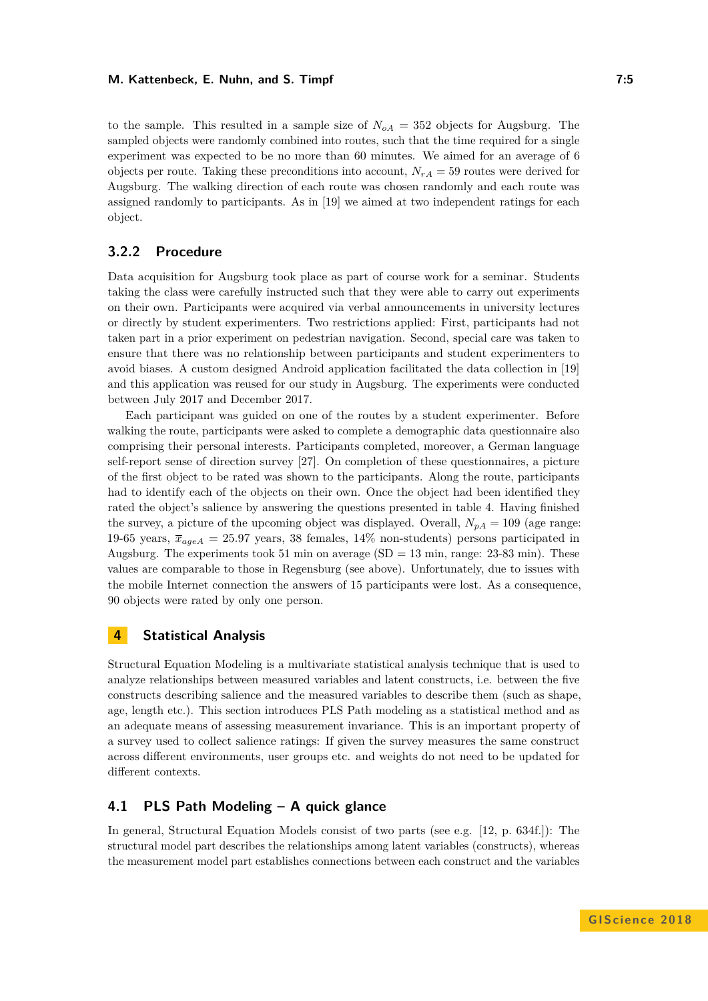to the sample. This resulted in a sample size of  $N_{oA} = 352$  objects for Augsburg. The sampled objects were randomly combined into routes, such that the time required for a single experiment was expected to be no more than 60 minutes. We aimed for an average of 6 objects per route. Taking these preconditions into account,  $N_{rA} = 59$  routes were derived for Augsburg. The walking direction of each route was chosen randomly and each route was assigned randomly to participants. As in [\[19\]](#page-13-7) we aimed at two independent ratings for each object.

# **3.2.2 Procedure**

Data acquisition for Augsburg took place as part of course work for a seminar. Students taking the class were carefully instructed such that they were able to carry out experiments on their own. Participants were acquired via verbal announcements in university lectures or directly by student experimenters. Two restrictions applied: First, participants had not taken part in a prior experiment on pedestrian navigation. Second, special care was taken to ensure that there was no relationship between participants and student experimenters to avoid biases. A custom designed Android application facilitated the data collection in [\[19\]](#page-13-7) and this application was reused for our study in Augsburg. The experiments were conducted between July 2017 and December 2017.

Each participant was guided on one of the routes by a student experimenter. Before walking the route, participants were asked to complete a demographic data questionnaire also comprising their personal interests. Participants completed, moreover, a German language self-report sense of direction survey [\[27\]](#page-13-12). On completion of these questionnaires, a picture of the first object to be rated was shown to the participants. Along the route, participants had to identify each of the objects on their own. Once the object had been identified they rated the object's salience by answering the questions presented in table [4.](#page-15-1) Having finished the survey, a picture of the upcoming object was displayed. Overall,  $N_{pA} = 109$  (age range: 19-65 years,  $\bar{x}_{ageA} = 25.97$  years, 38 females, 14% non-students) persons participated in Augsburg. The experiments took 51 min on average  $(SD = 13 \text{ min}, \text{range: } 23\text{-}83 \text{ min})$ . These values are comparable to those in Regensburg (see above). Unfortunately, due to issues with the mobile Internet connection the answers of 15 participants were lost. As a consequence, 90 objects were rated by only one person.

### <span id="page-4-0"></span>**4 Statistical Analysis**

Structural Equation Modeling is a multivariate statistical analysis technique that is used to analyze relationships between measured variables and latent constructs, i.e. between the five constructs describing salience and the measured variables to describe them (such as shape, age, length etc.). This section introduces PLS Path modeling as a statistical method and as an adequate means of assessing measurement invariance. This is an important property of a survey used to collect salience ratings: If given the survey measures the same construct across different environments, user groups etc. and weights do not need to be updated for different contexts.

# **4.1 PLS Path Modeling – A quick glance**

In general, Structural Equation Models consist of two parts (see e.g. [\[12,](#page-12-8) p. 634f.]): The structural model part describes the relationships among latent variables (constructs), whereas the measurement model part establishes connections between each construct and the variables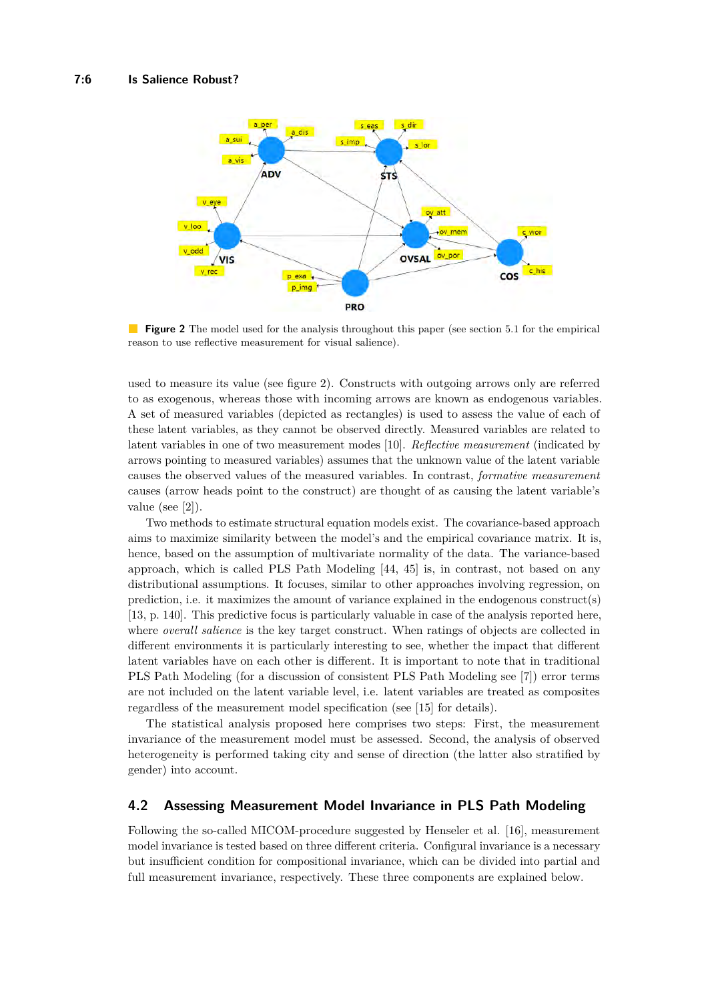<span id="page-5-0"></span>

**Figure 2** The model used for the analysis throughout this paper (see section [5.1](#page-7-0) for the empirical reason to use reflective measurement for visual salience).

used to measure its value (see figure [2\)](#page-5-0). Constructs with outgoing arrows only are referred to as exogenous, whereas those with incoming arrows are known as endogenous variables. A set of measured variables (depicted as rectangles) is used to assess the value of each of these latent variables, as they cannot be observed directly. Measured variables are related to latent variables in one of two measurement modes [\[10\]](#page-12-9). *Reflective measurement* (indicated by arrows pointing to measured variables) assumes that the unknown value of the latent variable causes the observed values of the measured variables. In contrast, *formative measurement* causes (arrow heads point to the construct) are thought of as causing the latent variable's value (see [\[2\]](#page-12-10)).

Two methods to estimate structural equation models exist. The covariance-based approach aims to maximize similarity between the model's and the empirical covariance matrix. It is, hence, based on the assumption of multivariate normality of the data. The variance-based approach, which is called PLS Path Modeling [\[44,](#page-14-8) [45\]](#page-14-9) is, in contrast, not based on any distributional assumptions. It focuses, similar to other approaches involving regression, on prediction, i.e. it maximizes the amount of variance explained in the endogenous construct(s) [\[13,](#page-12-11) p. 140]. This predictive focus is particularly valuable in case of the analysis reported here, where *overall salience* is the key target construct. When ratings of objects are collected in different environments it is particularly interesting to see, whether the impact that different latent variables have on each other is different. It is important to note that in traditional PLS Path Modeling (for a discussion of consistent PLS Path Modeling see [\[7\]](#page-12-12)) error terms are not included on the latent variable level, i.e. latent variables are treated as composites regardless of the measurement model specification (see [\[15\]](#page-12-13) for details).

The statistical analysis proposed here comprises two steps: First, the measurement invariance of the measurement model must be assessed. Second, the analysis of observed heterogeneity is performed taking city and sense of direction (the latter also stratified by gender) into account.

# **4.2 Assessing Measurement Model Invariance in PLS Path Modeling**

Following the so-called MICOM-procedure suggested by Henseler et al. [\[16\]](#page-13-13), measurement model invariance is tested based on three different criteria. Configural invariance is a necessary but insufficient condition for compositional invariance, which can be divided into partial and full measurement invariance, respectively. These three components are explained below.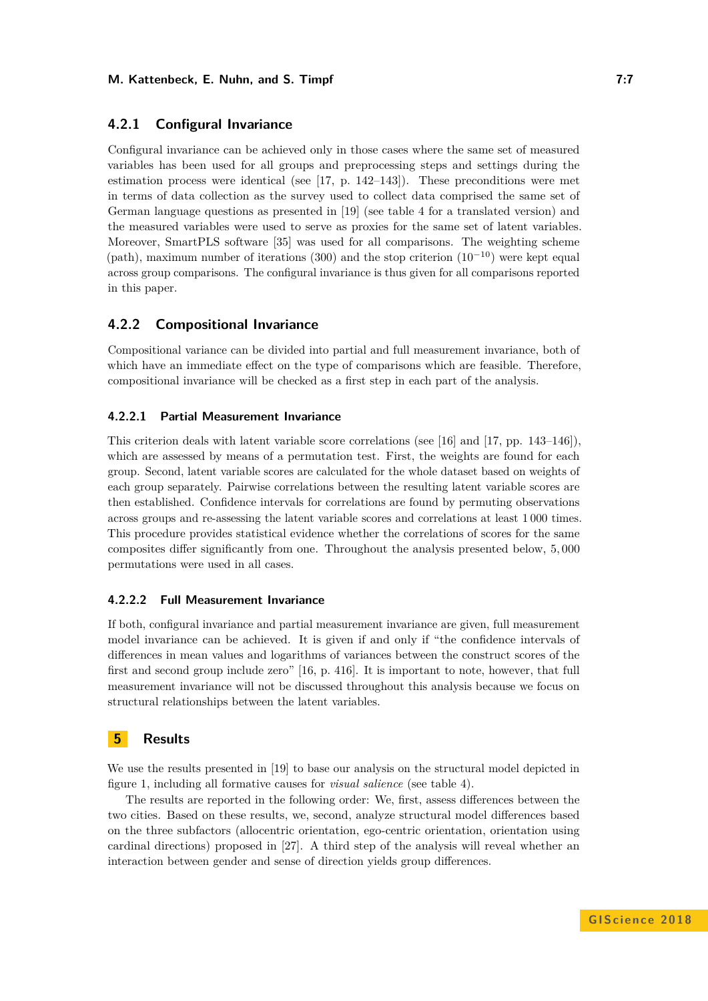### **4.2.1 Configural Invariance**

Configural invariance can be achieved only in those cases where the same set of measured variables has been used for all groups and preprocessing steps and settings during the estimation process were identical (see [\[17,](#page-13-14) p. 142–143]). These preconditions were met in terms of data collection as the survey used to collect data comprised the same set of German language questions as presented in [\[19\]](#page-13-7) (see table [4](#page-15-1) for a translated version) and the measured variables were used to serve as proxies for the same set of latent variables. Moreover, SmartPLS software [\[35\]](#page-13-15) was used for all comparisons. The weighting scheme (path), maximum number of iterations (300) and the stop criterion  $(10^{-10})$  were kept equal across group comparisons. The configural invariance is thus given for all comparisons reported in this paper.

### **4.2.2 Compositional Invariance**

Compositional variance can be divided into partial and full measurement invariance, both of which have an immediate effect on the type of comparisons which are feasible. Therefore, compositional invariance will be checked as a first step in each part of the analysis.

#### **4.2.2.1 Partial Measurement Invariance**

This criterion deals with latent variable score correlations (see [\[16\]](#page-13-13) and [\[17,](#page-13-14) pp. 143–146]), which are assessed by means of a permutation test. First, the weights are found for each group. Second, latent variable scores are calculated for the whole dataset based on weights of each group separately. Pairwise correlations between the resulting latent variable scores are then established. Confidence intervals for correlations are found by permuting observations across groups and re-assessing the latent variable scores and correlations at least 1 000 times. This procedure provides statistical evidence whether the correlations of scores for the same composites differ significantly from one. Throughout the analysis presented below, 5*,* 000 permutations were used in all cases.

#### **4.2.2.2 Full Measurement Invariance**

If both, configural invariance and partial measurement invariance are given, full measurement model invariance can be achieved. It is given if and only if "the confidence intervals of differences in mean values and logarithms of variances between the construct scores of the first and second group include zero" [\[16,](#page-13-13) p. 416]. It is important to note, however, that full measurement invariance will not be discussed throughout this analysis because we focus on structural relationships between the latent variables.

# **5 Results**

We use the results presented in [\[19\]](#page-13-7) to base our analysis on the structural model depicted in figure [1,](#page-2-0) including all formative causes for *visual salience* (see table [4\)](#page-15-1).

The results are reported in the following order: We, first, assess differences between the two cities. Based on these results, we, second, analyze structural model differences based on the three subfactors (allocentric orientation, ego-centric orientation, orientation using cardinal directions) proposed in [\[27\]](#page-13-12). A third step of the analysis will reveal whether an interaction between gender and sense of direction yields group differences.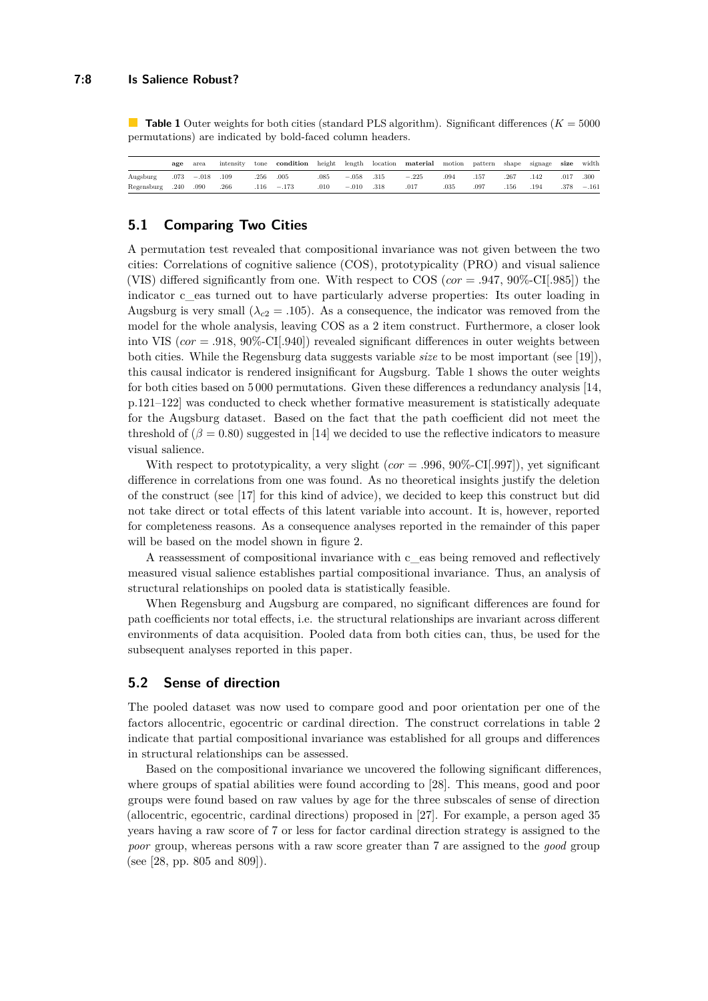<span id="page-7-1"></span>**Table 1** Outer weights for both cities (standard PLS algorithm). Significant differences  $(K = 5000$ permutations) are indicated by bold-faced column headers.

|            | age  | area    | intensity | tone | condition | height | length  | location | material | motion | pattern | shape | signage | size | width   |
|------------|------|---------|-----------|------|-----------|--------|---------|----------|----------|--------|---------|-------|---------|------|---------|
| Augsburg   | .073 | $-.018$ | .109      | .256 | .005      | 085    | $-.058$ | .315     | $-.225$  | .094   | .157    | .267  | .142    | .017 | .300    |
| Regensburg | .240 | .090    | .266      | .116 | $-.173$   | .010   | $-.010$ | .318     | .017     | .035   | .097    | .156  | .194    | .378 | $-.161$ |

### <span id="page-7-0"></span>**5.1 Comparing Two Cities**

A permutation test revealed that compositional invariance was not given between the two cities: Correlations of cognitive salience (COS), prototypicality (PRO) and visual salience (VIS) differed significantly from one. With respect to COS (*cor* = *.*947, 90%-CI[*.*985]) the indicator c\_eas turned out to have particularly adverse properties: Its outer loading in Augsburg is very small ( $\lambda_{c2} = .105$ ). As a consequence, the indicator was removed from the model for the whole analysis, leaving COS as a 2 item construct. Furthermore, a closer look into VIS (*cor* = *.*918, 90%-CI[*.*940]) revealed significant differences in outer weights between both cities. While the Regensburg data suggests variable *size* to be most important (see [\[19\]](#page-13-7)), this causal indicator is rendered insignificant for Augsburg. Table [1](#page-7-1) shows the outer weights for both cities based on 5 000 permutations. Given these differences a redundancy analysis [\[14,](#page-12-14) p.121–122] was conducted to check whether formative measurement is statistically adequate for the Augsburg dataset. Based on the fact that the path coefficient did not meet the threshold of  $(\beta = 0.80)$  suggested in [\[14\]](#page-12-14) we decided to use the reflective indicators to measure visual salience.

With respect to prototypicality, a very slight (*cor* = *.*996, 90%-CI[*.*997]), yet significant difference in correlations from one was found. As no theoretical insights justify the deletion of the construct (see [\[17\]](#page-13-14) for this kind of advice), we decided to keep this construct but did not take direct or total effects of this latent variable into account. It is, however, reported for completeness reasons. As a consequence analyses reported in the remainder of this paper will be based on the model shown in figure [2.](#page-5-0)

A reassessment of compositional invariance with c\_eas being removed and reflectively measured visual salience establishes partial compositional invariance. Thus, an analysis of structural relationships on pooled data is statistically feasible.

When Regensburg and Augsburg are compared, no significant differences are found for path coefficients nor total effects, i.e. the structural relationships are invariant across different environments of data acquisition. Pooled data from both cities can, thus, be used for the subsequent analyses reported in this paper.

### <span id="page-7-2"></span>**5.2 Sense of direction**

The pooled dataset was now used to compare good and poor orientation per one of the factors allocentric, egocentric or cardinal direction. The construct correlations in table [2](#page-8-0) indicate that partial compositional invariance was established for all groups and differences in structural relationships can be assessed.

Based on the compositional invariance we uncovered the following significant differences, where groups of spatial abilities were found according to [\[28\]](#page-13-16). This means, good and poor groups were found based on raw values by age for the three subscales of sense of direction (allocentric, egocentric, cardinal directions) proposed in [\[27\]](#page-13-12). For example, a person aged 35 years having a raw score of 7 or less for factor cardinal direction strategy is assigned to the *poor* group, whereas persons with a raw score greater than 7 are assigned to the *good* group (see [\[28,](#page-13-16) pp. 805 and 809]).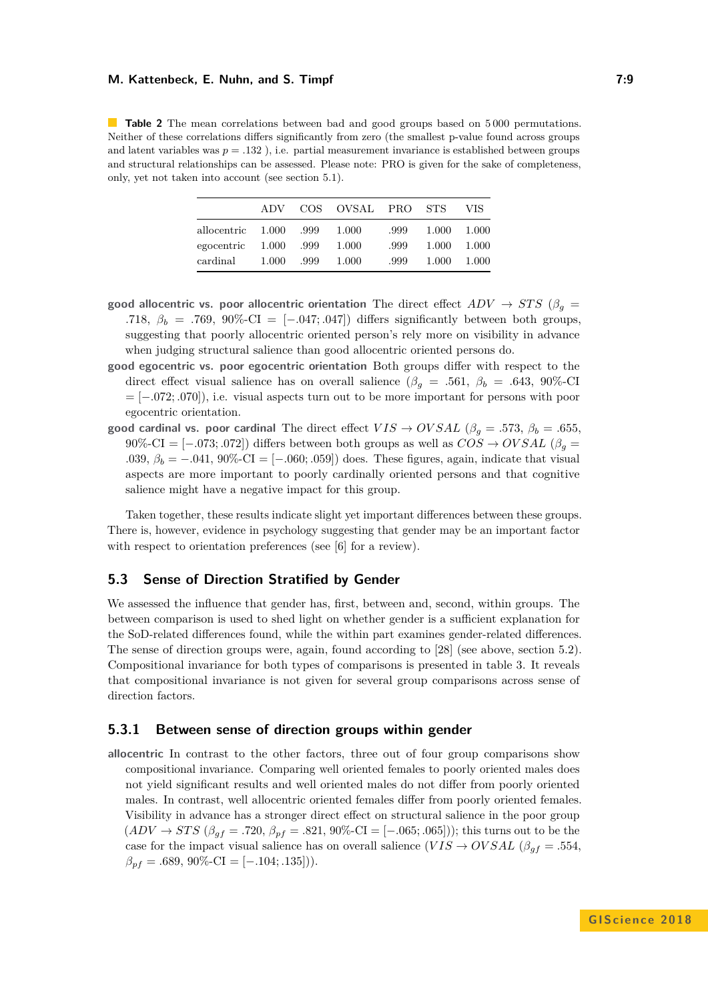<span id="page-8-0"></span>**Table 2** The mean correlations between bad and good groups based on 5000 permutations. Neither of these correlations differs significantly from zero (the smallest p-value found across groups and latent variables was  $p = .132$ ), i.e. partial measurement invariance is established between groups and structural relationships can be assessed. Please note: PRO is given for the sake of completeness, only, yet not taken into account (see section [5.1\)](#page-7-0).

|             | A DV  |      | COS OVSAL PRO STS |      |       | VIS   |
|-------------|-------|------|-------------------|------|-------|-------|
| allocentric | 1.000 | .999 | 1.000             | .999 | 1.000 | 1.000 |
| egocentric  | 1.000 | .999 | 1.000             | .999 | 1.000 | 1.000 |
| cardinal    | 1.000 | .999 | 1.000             | .999 | 1.000 | 1.000 |

- **good allocentric vs. poor allocentric orientation** The direct effect  $ADV \rightarrow STS$  ( $\beta_g =$ *.718,*  $\beta_b = .769$ , 90%-CI = [−*.047; .047]*) differs significantly between both groups, suggesting that poorly allocentric oriented person's rely more on visibility in advance when judging structural salience than good allocentric oriented persons do.
- **good egocentric vs. poor egocentric orientation** Both groups differ with respect to the direct effect visual salience has on overall salience ( $\beta_g = .561, \beta_b = .643, 90\%$ -CI = [−*.*072; *.*070]), i.e. visual aspects turn out to be more important for persons with poor egocentric orientation.
- **good cardinal vs. poor cardinal** The direct effect  $VIS \rightarrow OVSAL$  ( $\beta_g = .573$ ,  $\beta_b = .655$ , 90%-CI =  $[-.073; .072]$  differs between both groups as well as  $COS \rightarrow OVSAL$  ( $\beta_q$  = *.*039, *β<sup>b</sup>* = −*.*041, 90%-CI = [−*.*060; *.*059]) does. These figures, again, indicate that visual aspects are more important to poorly cardinally oriented persons and that cognitive salience might have a negative impact for this group.

Taken together, these results indicate slight yet important differences between these groups. There is, however, evidence in psychology suggesting that gender may be an important factor with respect to orientation preferences (see [\[6\]](#page-12-6) for a review).

### **5.3 Sense of Direction Stratified by Gender**

We assessed the influence that gender has, first, between and, second, within groups. The between comparison is used to shed light on whether gender is a sufficient explanation for the SoD-related differences found, while the within part examines gender-related differences. The sense of direction groups were, again, found according to [\[28\]](#page-13-16) (see above, section [5.2\)](#page-7-2). Compositional invariance for both types of comparisons is presented in table [3.](#page-9-0) It reveals that compositional invariance is not given for several group comparisons across sense of direction factors.

### **5.3.1 Between sense of direction groups within gender**

**allocentric** In contrast to the other factors, three out of four group comparisons show compositional invariance. Comparing well oriented females to poorly oriented males does not yield significant results and well oriented males do not differ from poorly oriented males. In contrast, well allocentric oriented females differ from poorly oriented females. Visibility in advance has a stronger direct effect on structural salience in the poor group  $(ADV \to STS$  ( $\beta_{gf} = .720$ ,  $\beta_{pf} = .821$ , 90%-CI = [-.065; .065])); this turns out to be the case for the impact visual salience has on overall salience  $(VIS \to OVSAL$  ( $\beta_{gf} = .554$ ,  $\beta_{pf} = .689, 90\%$ -CI = [-.104; .135])).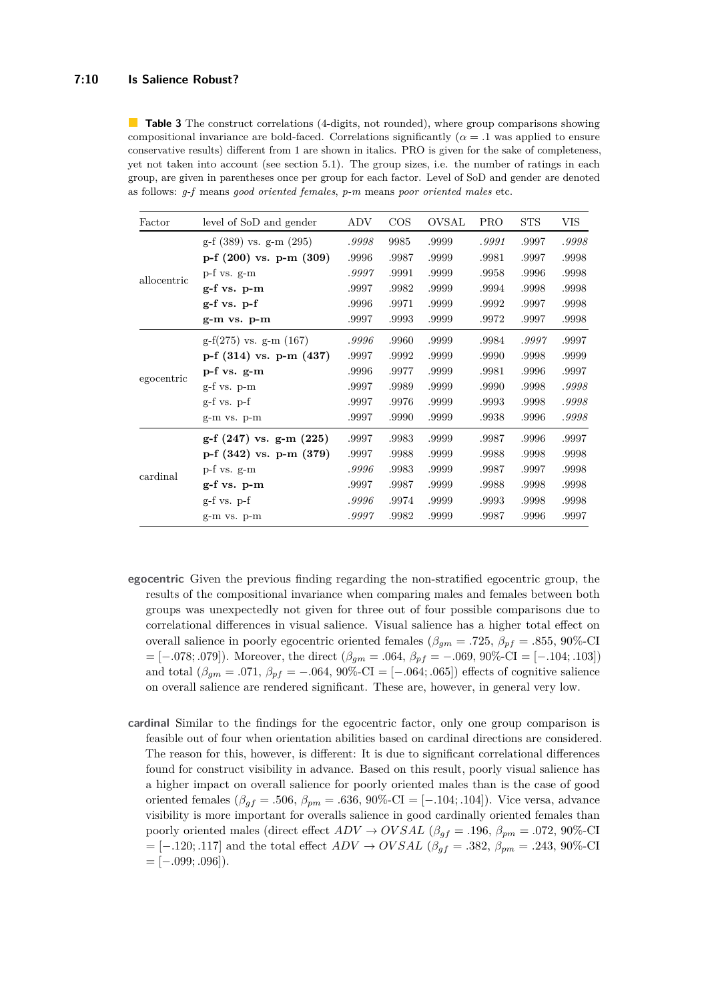#### **7:10 Is Salience Robust?**

<span id="page-9-0"></span>**Table 3** The construct correlations (4-digits, not rounded), where group comparisons showing compositional invariance are bold-faced. Correlations significantly ( $\alpha = 0.1$  was applied to ensure conservative results) different from 1 are shown in italics. PRO is given for the sake of completeness, yet not taken into account (see section [5.1\)](#page-7-0). The group sizes, i.e. the number of ratings in each group, are given in parentheses once per group for each factor. Level of SoD and gender are denoted as follows: *g-f* means *good oriented females*, *p-m* means *poor oriented males* etc.

| Factor      | level of SoD and gender     | ADV   | $\cos$ | OVSAL | <b>PRO</b> | <b>STS</b> | VIS   |
|-------------|-----------------------------|-------|--------|-------|------------|------------|-------|
| allocentric | g-f (389) vs. g-m (295)     | .9998 | 9985   | .9999 | .9991      | .9997      | .9998 |
|             | p-f $(200)$ vs. p-m $(309)$ | .9996 | .9987  | .9999 | .9981      | .9997      | .9998 |
|             | p-f vs. g-m                 | .9997 | .9991  | .9999 | .9958      | .9996      | .9998 |
|             | $g$ -f vs. $p$ -m           | .9997 | .9982  | .9999 | .9994      | .9998      | .9998 |
|             | $g-f$ vs. $p-f$             | .9996 | .9971  | .9999 | .9992      | .9997      | .9998 |
|             | $g-m$ vs. $p-m$             | .9997 | .9993  | .9999 | .9972      | .9997      | .9998 |
| egocentric  | $g-f(275)$ vs. $g-m(167)$   | .9996 | .9960  | .9999 | .9984      | .9997      | .9997 |
|             | p-f (314) vs. p-m (437)     | .9997 | .9992  | .9999 | .9990      | .9998      | .9999 |
|             | p-f vs. g-m                 | .9996 | .9977  | .9999 | .9981      | .9996      | .9997 |
|             | $g-f$ vs. $p-m$             | .9997 | .9989  | .9999 | .9990      | .9998      | .9998 |
|             | $g-f$ vs. $p-f$             | .9997 | .9976  | .9999 | .9993      | .9998      | .9998 |
|             | g-m vs. p-m                 | .9997 | .9990  | .9999 | .9938      | .9996      | .9998 |
|             | $g-f(247)$ vs. $g-m(225)$   | .9997 | .9983  | .9999 | .9987      | .9996      | .9997 |
| cardinal    | p-f $(342)$ vs. p-m $(379)$ | .9997 | .9988  | .9999 | .9988      | .9998      | .9998 |
|             | p-f vs. g-m                 | .9996 | .9983  | .9999 | .9987      | .9997      | .9998 |
|             | $g-f$ vs. $p-m$             | .9997 | .9987  | .9999 | .9988      | .9998      | .9998 |
|             | $g-f$ vs. $p-f$             | .9996 | .9974  | .9999 | .9993      | .9998      | .9998 |
|             | g-m vs. p-m                 | .9997 | .9982  | .9999 | .9987      | .9996      | .9997 |

- **egocentric** Given the previous finding regarding the non-stratified egocentric group, the results of the compositional invariance when comparing males and females between both groups was unexpectedly not given for three out of four possible comparisons due to correlational differences in visual salience. Visual salience has a higher total effect on overall salience in poorly egocentric oriented females ( $\beta_{gm} = .725$ ,  $\beta_{pf} = .855$ , 90%-CI = [−*.*078; *.*079]). Moreover, the direct (*βgm* = *.*064, *βpf* = −*.*069, 90%-CI = [−*.*104; *.*103]) and total  $(\beta_{qm} = .071, \beta_{pf} = -.064, 90\% \text{-CI} = [-.064, .065])$  effects of cognitive salience on overall salience are rendered significant. These are, however, in general very low.
- **cardinal** Similar to the findings for the egocentric factor, only one group comparison is feasible out of four when orientation abilities based on cardinal directions are considered. The reason for this, however, is different: It is due to significant correlational differences found for construct visibility in advance. Based on this result, poorly visual salience has a higher impact on overall salience for poorly oriented males than is the case of good oriented females ( $\beta_{gf} = .506$ ,  $\beta_{pm} = .636$ , 90%-CI = [-.104; .104]). Vice versa, advance visibility is more important for overalls salience in good cardinally oriented females than poorly oriented males (direct effect  $ADV \rightarrow OVSAL$  ( $\beta_{gf} = .196$ ,  $\beta_{pm} = .072$ , 90%-CI = [−*.*120; *.*117] and the total effect *ADV* → *OV SAL* (*βgf* = *.*382, *βpm* = *.*243, 90%-CI = [−*.*099; *.*096]).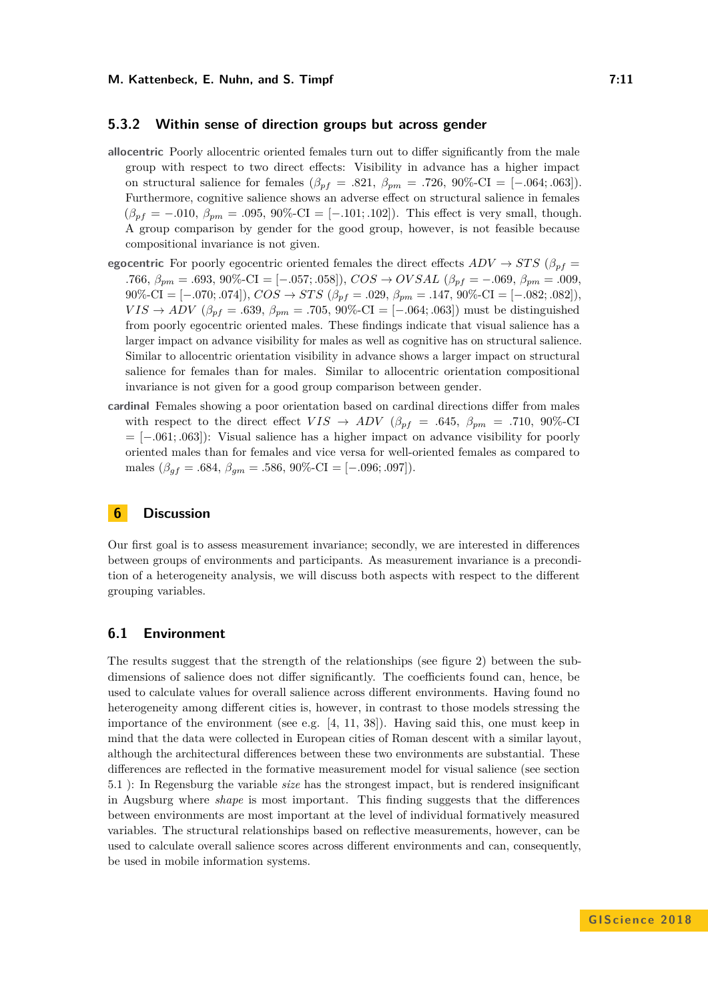#### **5.3.2 Within sense of direction groups but across gender**

- **allocentric** Poorly allocentric oriented females turn out to differ significantly from the male group with respect to two direct effects: Visibility in advance has a higher impact on structural salience for females ( $\beta_{pf} = .821, \ \beta_{pm} = .726, \ 90\% \text{-CI} = [-.064; .063])$ . Furthermore, cognitive salience shows an adverse effect on structural salience in females  $(\beta_{pf} = -.010, \ \beta_{pm} = .095, \ 90\% \text{-CI} = [-.101, .102]$ . This effect is very small, though. A group comparison by gender for the good group, however, is not feasible because compositional invariance is not given.
- **egocentric** For poorly egocentric oriented females the direct effects  $ADV \rightarrow STS$  ( $\beta_{pf}$  = *.*766, *βpm* = *.*693, 90%-CI = [−*.*057; *.*058]), *COS* → *OV SAL* (*βpf* = −*.*069, *βpm* = *.*009,  $90\%$ -CI = [-.070; *.*074]),  $COS \rightarrow STS$  ( $\beta_{pf} = .029$ ,  $\beta_{pm} = .147$ ,  $90\%$ -CI = [-.082; *.*082]). *VIS* → *ADV* ( $\beta_{pf} = .639$ ,  $\beta_{pm} = .705$ , 90%-CI = [−*.064*; *.063*]) must be distinguished from poorly egocentric oriented males. These findings indicate that visual salience has a larger impact on advance visibility for males as well as cognitive has on structural salience. Similar to allocentric orientation visibility in advance shows a larger impact on structural salience for females than for males. Similar to allocentric orientation compositional invariance is not given for a good group comparison between gender.
- **cardinal** Females showing a poor orientation based on cardinal directions differ from males with respect to the direct effect  $VIS \rightarrow ADV$  ( $\beta_{pf} = .645$ ,  $\beta_{pm} = .710$ , 90%-CI = [−*.*061; *.*063]): Visual salience has a higher impact on advance visibility for poorly oriented males than for females and vice versa for well-oriented females as compared to males  $(\beta_{gf} = .684, \beta_{gm} = .586, 90\%$ -CI = [-.096; .097]).

### **6 Discussion**

Our first goal is to assess measurement invariance; secondly, we are interested in differences between groups of environments and participants. As measurement invariance is a precondition of a heterogeneity analysis, we will discuss both aspects with respect to the different grouping variables.

### **6.1 Environment**

The results suggest that the strength of the relationships (see figure [2\)](#page-5-0) between the subdimensions of salience does not differ significantly. The coefficients found can, hence, be used to calculate values for overall salience across different environments. Having found no heterogeneity among different cities is, however, in contrast to those models stressing the importance of the environment (see e.g. [\[4,](#page-12-1) [11,](#page-12-4) [38\]](#page-14-7)). Having said this, one must keep in mind that the data were collected in European cities of Roman descent with a similar layout, although the architectural differences between these two environments are substantial. These differences are reflected in the formative measurement model for visual salience (see section [5.1](#page-7-0) ): In Regensburg the variable *size* has the strongest impact, but is rendered insignificant in Augsburg where *shape* is most important. This finding suggests that the differences between environments are most important at the level of individual formatively measured variables. The structural relationships based on reflective measurements, however, can be used to calculate overall salience scores across different environments and can, consequently, be used in mobile information systems.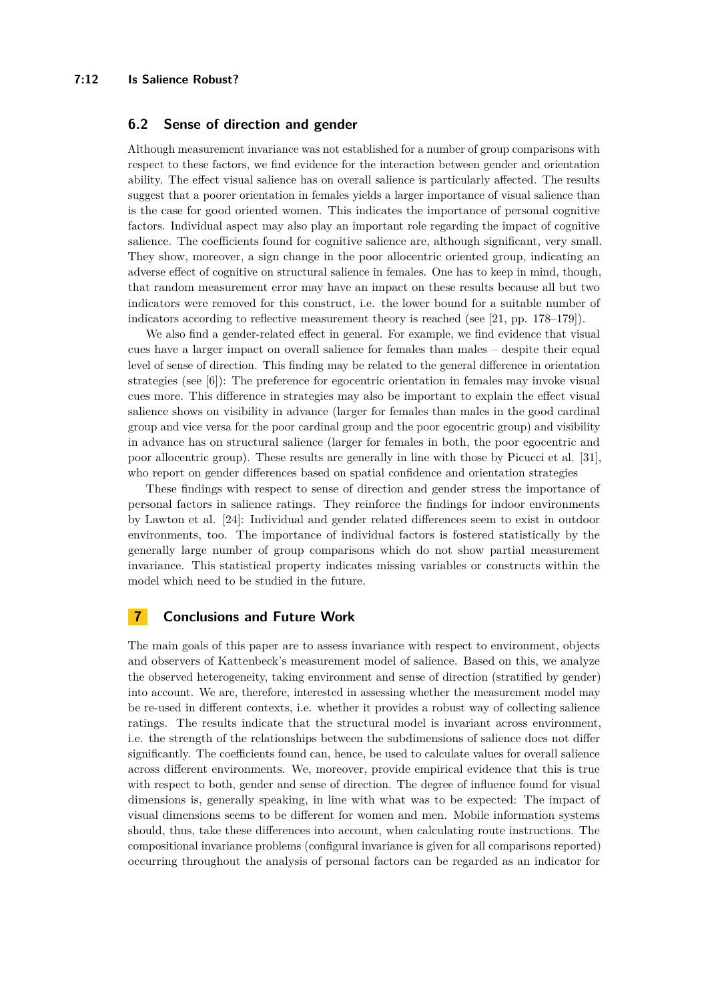### **6.2 Sense of direction and gender**

Although measurement invariance was not established for a number of group comparisons with respect to these factors, we find evidence for the interaction between gender and orientation ability. The effect visual salience has on overall salience is particularly affected. The results suggest that a poorer orientation in females yields a larger importance of visual salience than is the case for good oriented women. This indicates the importance of personal cognitive factors. Individual aspect may also play an important role regarding the impact of cognitive salience. The coefficients found for cognitive salience are, although significant, very small. They show, moreover, a sign change in the poor allocentric oriented group, indicating an adverse effect of cognitive on structural salience in females. One has to keep in mind, though, that random measurement error may have an impact on these results because all but two indicators were removed for this construct, i.e. the lower bound for a suitable number of indicators according to reflective measurement theory is reached (see [\[21,](#page-13-17) pp. 178–179]).

We also find a gender-related effect in general. For example, we find evidence that visual cues have a larger impact on overall salience for females than males – despite their equal level of sense of direction. This finding may be related to the general difference in orientation strategies (see [\[6\]](#page-12-6)): The preference for egocentric orientation in females may invoke visual cues more. This difference in strategies may also be important to explain the effect visual salience shows on visibility in advance (larger for females than males in the good cardinal group and vice versa for the poor cardinal group and the poor egocentric group) and visibility in advance has on structural salience (larger for females in both, the poor egocentric and poor allocentric group). These results are generally in line with those by Picucci et al. [\[31\]](#page-13-18), who report on gender differences based on spatial confidence and orientation strategies

These findings with respect to sense of direction and gender stress the importance of personal factors in salience ratings. They reinforce the findings for indoor environments by Lawton et al. [\[24\]](#page-13-19): Individual and gender related differences seem to exist in outdoor environments, too. The importance of individual factors is fostered statistically by the generally large number of group comparisons which do not show partial measurement invariance. This statistical property indicates missing variables or constructs within the model which need to be studied in the future.

# **7 Conclusions and Future Work**

The main goals of this paper are to assess invariance with respect to environment, objects and observers of Kattenbeck's measurement model of salience. Based on this, we analyze the observed heterogeneity, taking environment and sense of direction (stratified by gender) into account. We are, therefore, interested in assessing whether the measurement model may be re-used in different contexts, i.e. whether it provides a robust way of collecting salience ratings. The results indicate that the structural model is invariant across environment, i.e. the strength of the relationships between the subdimensions of salience does not differ significantly. The coefficients found can, hence, be used to calculate values for overall salience across different environments. We, moreover, provide empirical evidence that this is true with respect to both, gender and sense of direction. The degree of influence found for visual dimensions is, generally speaking, in line with what was to be expected: The impact of visual dimensions seems to be different for women and men. Mobile information systems should, thus, take these differences into account, when calculating route instructions. The compositional invariance problems (configural invariance is given for all comparisons reported) occurring throughout the analysis of personal factors can be regarded as an indicator for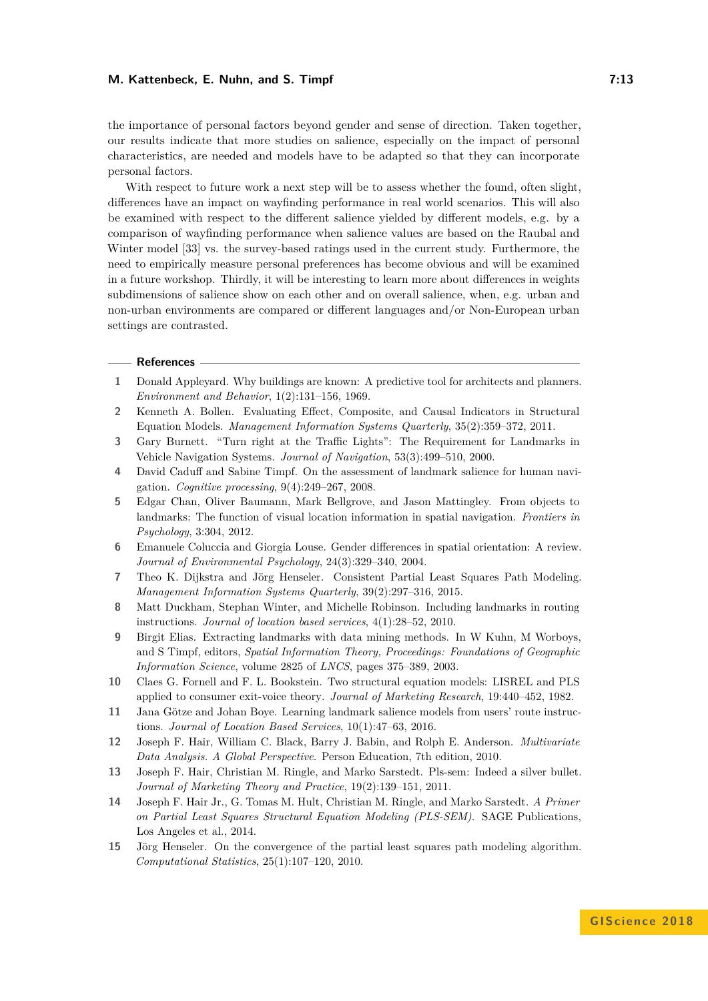the importance of personal factors beyond gender and sense of direction. Taken together, our results indicate that more studies on salience, especially on the impact of personal characteristics, are needed and models have to be adapted so that they can incorporate personal factors.

With respect to future work a next step will be to assess whether the found, often slight, differences have an impact on wayfinding performance in real world scenarios. This will also be examined with respect to the different salience yielded by different models, e.g. by a comparison of wayfinding performance when salience values are based on the Raubal and Winter model [\[33\]](#page-13-0) vs. the survey-based ratings used in the current study. Furthermore, the need to empirically measure personal preferences has become obvious and will be examined in a future workshop. Thirdly, it will be interesting to learn more about differences in weights subdimensions of salience show on each other and on overall salience, when, e.g. urban and non-urban environments are compared or different languages and/or Non-European urban settings are contrasted.

#### **References**

- <span id="page-12-7"></span>**1** Donald Appleyard. Why buildings are known: A predictive tool for architects and planners. *Environment and Behavior*, 1(2):131–156, 1969.
- <span id="page-12-10"></span>**2** Kenneth A. Bollen. Evaluating Effect, Composite, and Causal Indicators in Structural Equation Models. *Management Information Systems Quarterly*, 35(2):359–372, 2011.
- <span id="page-12-5"></span>**3** Gary Burnett. "Turn right at the Traffic Lights": The Requirement for Landmarks in Vehicle Navigation Systems. *Journal of Navigation*, 53(3):499–510, 2000.
- <span id="page-12-1"></span>**4** David Caduff and Sabine Timpf. On the assessment of landmark salience for human navigation. *Cognitive processing*, 9(4):249–267, 2008.
- <span id="page-12-3"></span>**5** Edgar Chan, Oliver Baumann, Mark Bellgrove, and Jason Mattingley. From objects to landmarks: The function of visual location information in spatial navigation. *Frontiers in Psychology*, 3:304, 2012.
- <span id="page-12-6"></span>**6** Emanuele Coluccia and Giorgia Louse. Gender differences in spatial orientation: A review. *Journal of Environmental Psychology*, 24(3):329–340, 2004.
- <span id="page-12-12"></span>**7** Theo K. Dijkstra and Jörg Henseler. Consistent Partial Least Squares Path Modeling. *Management Information Systems Quarterly*, 39(2):297–316, 2015.
- <span id="page-12-2"></span>**8** Matt Duckham, Stephan Winter, and Michelle Robinson. Including landmarks in routing instructions. *Journal of location based services*, 4(1):28–52, 2010.
- <span id="page-12-0"></span>**9** Birgit Elias. Extracting landmarks with data mining methods. In W Kuhn, M Worboys, and S Timpf, editors, *Spatial Information Theory, Proceedings: Foundations of Geographic Information Science*, volume 2825 of *LNCS*, pages 375–389, 2003.
- <span id="page-12-9"></span>**10** Claes G. Fornell and F. L. Bookstein. Two structural equation models: LISREL and PLS applied to consumer exit-voice theory. *Journal of Marketing Research*, 19:440–452, 1982.
- <span id="page-12-4"></span>**11** Jana Götze and Johan Boye. Learning landmark salience models from users' route instructions. *Journal of Location Based Services*, 10(1):47–63, 2016.
- <span id="page-12-8"></span>**12** Joseph F. Hair, William C. Black, Barry J. Babin, and Rolph E. Anderson. *Multivariate Data Analysis. A Global Perspective*. Person Education, 7th edition, 2010.
- <span id="page-12-11"></span>**13** Joseph F. Hair, Christian M. Ringle, and Marko Sarstedt. Pls-sem: Indeed a silver bullet. *Journal of Marketing Theory and Practice*, 19(2):139–151, 2011.
- <span id="page-12-14"></span>**14** Joseph F. Hair Jr., G. Tomas M. Hult, Christian M. Ringle, and Marko Sarstedt. *A Primer on Partial Least Squares Structural Equation Modeling (PLS-SEM)*. SAGE Publications, Los Angeles et al., 2014.
- <span id="page-12-13"></span>**15** Jörg Henseler. On the convergence of the partial least squares path modeling algorithm. *Computational Statistics*, 25(1):107–120, 2010.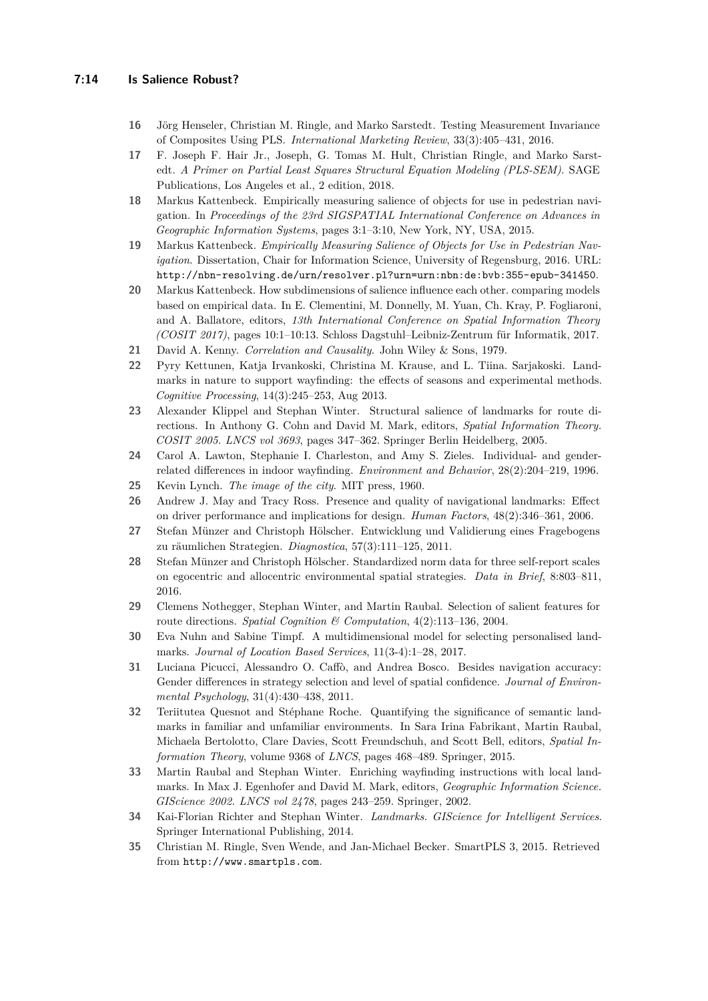- <span id="page-13-13"></span>**16** Jörg Henseler, Christian M. Ringle, and Marko Sarstedt. Testing Measurement Invariance of Composites Using PLS. *International Marketing Review*, 33(3):405–431, 2016.
- <span id="page-13-14"></span>**17** F. Joseph F. Hair Jr., Joseph, G. Tomas M. Hult, Christian Ringle, and Marko Sarstedt. *A Primer on Partial Least Squares Structural Equation Modeling (PLS-SEM)*. SAGE Publications, Los Angeles et al., 2 edition, 2018.
- <span id="page-13-4"></span>**18** Markus Kattenbeck. Empirically measuring salience of objects for use in pedestrian navigation. In *Proceedings of the 23rd SIGSPATIAL International Conference on Advances in Geographic Information Systems*, pages 3:1–3:10, New York, NY, USA, 2015.
- <span id="page-13-7"></span>**19** Markus Kattenbeck. *Empirically Measuring Salience of Objects for Use in Pedestrian Navigation*. Dissertation, Chair for Information Science, University of Regensburg, 2016. URL: <http://nbn-resolving.de/urn/resolver.pl?urn=urn:nbn:de:bvb:355-epub-341450>.
- <span id="page-13-11"></span>**20** Markus Kattenbeck. How subdimensions of salience influence each other. comparing models based on empirical data. In E. Clementini, M. Donnelly, M. Yuan, Ch. Kray, P. Fogliaroni, and A. Ballatore, editors, *13th International Conference on Spatial Information Theory (COSIT 2017)*, pages 10:1–10:13. Schloss Dagstuhl–Leibniz-Zentrum für Informatik, 2017.
- <span id="page-13-17"></span>**21** David A. Kenny. *Correlation and Causality*. John Wiley & Sons, 1979.
- <span id="page-13-1"></span>**22** Pyry Kettunen, Katja Irvankoski, Christina M. Krause, and L. Tiina. Sarjakoski. Landmarks in nature to support wayfinding: the effects of seasons and experimental methods. *Cognitive Processing*, 14(3):245–253, Aug 2013.
- <span id="page-13-10"></span>**23** Alexander Klippel and Stephan Winter. Structural salience of landmarks for route directions. In Anthony G. Cohn and David M. Mark, editors, *Spatial Information Theory. COSIT 2005. LNCS vol 3693*, pages 347–362. Springer Berlin Heidelberg, 2005.
- <span id="page-13-19"></span>**24** Carol A. Lawton, Stephanie I. Charleston, and Amy S. Zieles. Individual- and genderrelated differences in indoor wayfinding. *Environment and Behavior*, 28(2):204–219, 1996.
- <span id="page-13-8"></span>**25** Kevin Lynch. *The image of the city*. MIT press, 1960.
- <span id="page-13-6"></span>**26** Andrew J. May and Tracy Ross. Presence and quality of navigational landmarks: Effect on driver performance and implications for design. *Human Factors*, 48(2):346–361, 2006.
- <span id="page-13-12"></span>**27** Stefan Münzer and Christoph Hölscher. Entwicklung und Validierung eines Fragebogens zu räumlichen Strategien. *Diagnostica*, 57(3):111–125, 2011.
- <span id="page-13-16"></span>**28** Stefan Münzer and Christoph Hölscher. Standardized norm data for three self-report scales on egocentric and allocentric environmental spatial strategies. *Data in Brief*, 8:803–811, 2016.
- <span id="page-13-9"></span>**29** Clemens Nothegger, Stephan Winter, and Martin Raubal. Selection of salient features for route directions. *Spatial Cognition & Computation*, 4(2):113–136, 2004.
- <span id="page-13-5"></span>**30** Eva Nuhn and Sabine Timpf. A multidimensional model for selecting personalised landmarks. *Journal of Location Based Services*, 11(3-4):1–28, 2017.
- <span id="page-13-18"></span>**31** Luciana Picucci, Alessandro O. Caffò, and Andrea Bosco. Besides navigation accuracy: Gender differences in strategy selection and level of spatial confidence. *Journal of Environmental Psychology*, 31(4):430–438, 2011.
- <span id="page-13-3"></span>**32** Teriitutea Quesnot and Stéphane Roche. Quantifying the significance of semantic landmarks in familiar and unfamiliar environments. In Sara Irina Fabrikant, Martin Raubal, Michaela Bertolotto, Clare Davies, Scott Freundschuh, and Scott Bell, editors, *Spatial Information Theory*, volume 9368 of *LNCS*, pages 468–489. Springer, 2015.
- <span id="page-13-0"></span>**33** Martin Raubal and Stephan Winter. Enriching wayfinding instructions with local landmarks. In Max J. Egenhofer and David M. Mark, editors, *Geographic Information Science. GIScience 2002. LNCS vol 2478*, pages 243–259. Springer, 2002.
- <span id="page-13-2"></span>**34** Kai-Florian Richter and Stephan Winter. *Landmarks. GIScience for Intelligent Services*. Springer International Publishing, 2014.
- <span id="page-13-15"></span>**35** Christian M. Ringle, Sven Wende, and Jan-Michael Becker. SmartPLS 3, 2015. Retrieved from <http://www.smartpls.com>.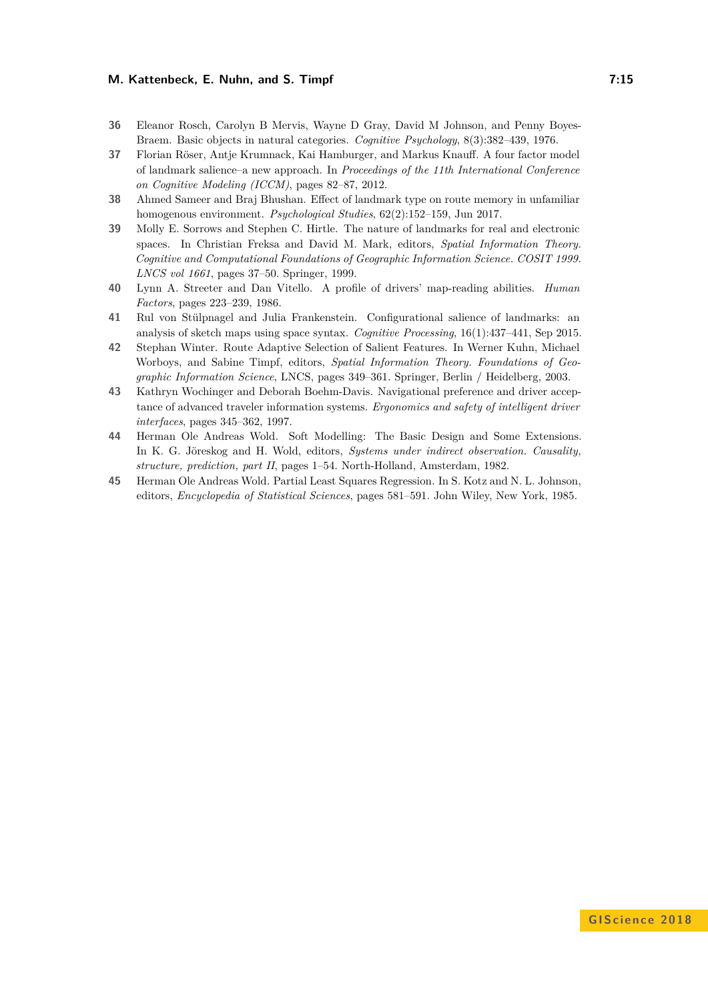- <span id="page-14-5"></span>**36** Eleanor Rosch, Carolyn B Mervis, Wayne D Gray, David M Johnson, and Penny Boyes-Braem. Basic objects in natural categories. *Cognitive Psychology*, 8(3):382–439, 1976.
- <span id="page-14-1"></span>**37** Florian Röser, Antje Krumnack, Kai Hamburger, and Markus Knauff. A four factor model of landmark salience–a new approach. In *Proceedings of the 11th International Conference on Cognitive Modeling (ICCM)*, pages 82–87, 2012.
- <span id="page-14-7"></span>**38** Ahmed Sameer and Braj Bhushan. Effect of landmark type on route memory in unfamiliar homogenous environment. *Psychological Studies*, 62(2):152–159, Jun 2017.
- <span id="page-14-0"></span>**39** Molly E. Sorrows and Stephen C. Hirtle. The nature of landmarks for real and electronic spaces. In Christian Freksa and David M. Mark, editors, *Spatial Information Theory. Cognitive and Computational Foundations of Geographic Information Science. COSIT 1999. LNCS vol 1661*, pages 37–50. Springer, 1999.
- <span id="page-14-2"></span>**40** Lynn A. Streeter and Dan Vitello. A profile of drivers' map-reading abilities. *Human Factors*, pages 223–239, 1986.
- <span id="page-14-4"></span>**41** Rul von Stülpnagel and Julia Frankenstein. Configurational salience of landmarks: an analysis of sketch maps using space syntax. *Cognitive Processing*, 16(1):437–441, Sep 2015.
- <span id="page-14-6"></span>**42** Stephan Winter. Route Adaptive Selection of Salient Features. In Werner Kuhn, Michael Worboys, and Sabine Timpf, editors, *Spatial Information Theory. Foundations of Geographic Information Science*, LNCS, pages 349–361. Springer, Berlin / Heidelberg, 2003.
- <span id="page-14-3"></span>**43** Kathryn Wochinger and Deborah Boehm-Davis. Navigational preference and driver acceptance of advanced traveler information systems. *Ergonomics and safety of intelligent driver interfaces*, pages 345–362, 1997.
- <span id="page-14-8"></span>**44** Herman Ole Andreas Wold. Soft Modelling: The Basic Design and Some Extensions. In K. G. Jöreskog and H. Wold, editors, *Systems under indirect observation. Causality, structure, prediction, part II*, pages 1–54. North-Holland, Amsterdam, 1982.
- <span id="page-14-9"></span>**45** Herman Ole Andreas Wold. Partial Least Squares Regression. In S. Kotz and N. L. Johnson, editors, *Encyclopedia of Statistical Sciences*, pages 581–591. John Wiley, New York, 1985.